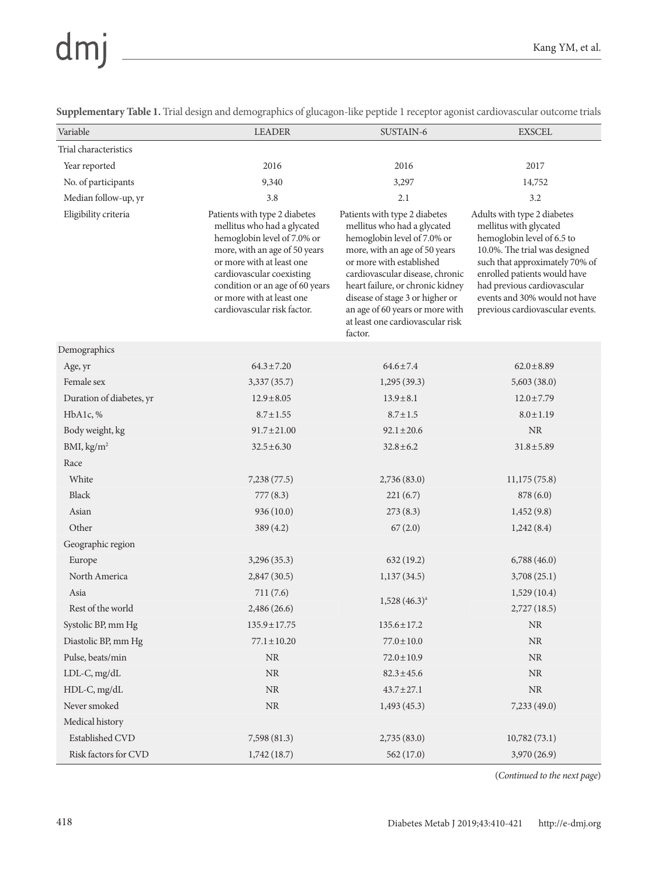## dmj

**Supplementary Table 1.** Trial design and demographics of glucagon-like peptide 1 receptor agonist cardiovascular outcome trials

| Variable                 | <b>LEADER</b>                                                                                                                                                                                                                                                                         | SUSTAIN-6                                                                                                                                                                                                                                                                                                                                            | <b>EXSCEL</b>                                                                                                                                                                                                                                                                             |
|--------------------------|---------------------------------------------------------------------------------------------------------------------------------------------------------------------------------------------------------------------------------------------------------------------------------------|------------------------------------------------------------------------------------------------------------------------------------------------------------------------------------------------------------------------------------------------------------------------------------------------------------------------------------------------------|-------------------------------------------------------------------------------------------------------------------------------------------------------------------------------------------------------------------------------------------------------------------------------------------|
| Trial characteristics    |                                                                                                                                                                                                                                                                                       |                                                                                                                                                                                                                                                                                                                                                      |                                                                                                                                                                                                                                                                                           |
| Year reported            | 2016                                                                                                                                                                                                                                                                                  | 2016                                                                                                                                                                                                                                                                                                                                                 | 2017                                                                                                                                                                                                                                                                                      |
| No. of participants      | 9,340                                                                                                                                                                                                                                                                                 | 3,297                                                                                                                                                                                                                                                                                                                                                | 14,752                                                                                                                                                                                                                                                                                    |
| Median follow-up, yr     | 3.8                                                                                                                                                                                                                                                                                   | 2.1                                                                                                                                                                                                                                                                                                                                                  | 3.2                                                                                                                                                                                                                                                                                       |
| Eligibility criteria     | Patients with type 2 diabetes<br>mellitus who had a glycated<br>hemoglobin level of 7.0% or<br>more, with an age of 50 years<br>or more with at least one<br>cardiovascular coexisting<br>condition or an age of 60 years<br>or more with at least one<br>cardiovascular risk factor. | Patients with type 2 diabetes<br>mellitus who had a glycated<br>hemoglobin level of 7.0% or<br>more, with an age of 50 years<br>or more with established<br>cardiovascular disease, chronic<br>heart failure, or chronic kidney<br>disease of stage 3 or higher or<br>an age of 60 years or more with<br>at least one cardiovascular risk<br>factor. | Adults with type 2 diabetes<br>mellitus with glycated<br>hemoglobin level of 6.5 to<br>10.0%. The trial was designed<br>such that approximately 70% of<br>enrolled patients would have<br>had previous cardiovascular<br>events and 30% would not have<br>previous cardiovascular events. |
| Demographics             |                                                                                                                                                                                                                                                                                       |                                                                                                                                                                                                                                                                                                                                                      |                                                                                                                                                                                                                                                                                           |
| Age, yr                  | $64.3 \pm 7.20$                                                                                                                                                                                                                                                                       | $64.6 \pm 7.4$                                                                                                                                                                                                                                                                                                                                       | $62.0 \pm 8.89$                                                                                                                                                                                                                                                                           |
| Female sex               | 3,337(35.7)                                                                                                                                                                                                                                                                           | 1,295(39.3)                                                                                                                                                                                                                                                                                                                                          | 5,603(38.0)                                                                                                                                                                                                                                                                               |
| Duration of diabetes, yr | $12.9 \pm 8.05$                                                                                                                                                                                                                                                                       | $13.9 \pm 8.1$                                                                                                                                                                                                                                                                                                                                       | $12.0 \pm 7.79$                                                                                                                                                                                                                                                                           |
| HbA1c, %                 | $8.7 \pm 1.55$                                                                                                                                                                                                                                                                        | $8.7 \pm 1.5$                                                                                                                                                                                                                                                                                                                                        | $8.0 \pm 1.19$                                                                                                                                                                                                                                                                            |
| Body weight, kg          | $91.7 \pm 21.00$                                                                                                                                                                                                                                                                      | $92.1 \pm 20.6$                                                                                                                                                                                                                                                                                                                                      | $\rm NR$                                                                                                                                                                                                                                                                                  |
| BMI, kg/m <sup>2</sup>   | $32.5 \pm 6.30$                                                                                                                                                                                                                                                                       | $32.8 \pm 6.2$                                                                                                                                                                                                                                                                                                                                       | $31.8 \pm 5.89$                                                                                                                                                                                                                                                                           |
| Race                     |                                                                                                                                                                                                                                                                                       |                                                                                                                                                                                                                                                                                                                                                      |                                                                                                                                                                                                                                                                                           |
| White                    | 7,238 (77.5)                                                                                                                                                                                                                                                                          | 2,736 (83.0)                                                                                                                                                                                                                                                                                                                                         | 11,175(75.8)                                                                                                                                                                                                                                                                              |
| Black                    | 777(8.3)                                                                                                                                                                                                                                                                              | 221(6.7)                                                                                                                                                                                                                                                                                                                                             | 878(6.0)                                                                                                                                                                                                                                                                                  |
| Asian                    | 936(10.0)                                                                                                                                                                                                                                                                             | 273(8.3)                                                                                                                                                                                                                                                                                                                                             | 1,452(9.8)                                                                                                                                                                                                                                                                                |
| Other                    | 389 (4.2)                                                                                                                                                                                                                                                                             | 67(2.0)                                                                                                                                                                                                                                                                                                                                              | 1,242(8.4)                                                                                                                                                                                                                                                                                |
| Geographic region        |                                                                                                                                                                                                                                                                                       |                                                                                                                                                                                                                                                                                                                                                      |                                                                                                                                                                                                                                                                                           |
| Europe                   | 3,296 (35.3)                                                                                                                                                                                                                                                                          | 632 (19.2)                                                                                                                                                                                                                                                                                                                                           | 6,788(46.0)                                                                                                                                                                                                                                                                               |
| North America            | 2,847(30.5)                                                                                                                                                                                                                                                                           | 1,137(34.5)                                                                                                                                                                                                                                                                                                                                          | 3,708(25.1)                                                                                                                                                                                                                                                                               |
| Asia                     | 711(7.6)                                                                                                                                                                                                                                                                              | $1,528$ $(46.3)^a$                                                                                                                                                                                                                                                                                                                                   | 1,529(10.4)                                                                                                                                                                                                                                                                               |
| Rest of the world        | 2,486(26.6)                                                                                                                                                                                                                                                                           |                                                                                                                                                                                                                                                                                                                                                      | 2,727(18.5)                                                                                                                                                                                                                                                                               |
| Systolic BP, mm Hg       | $135.9 \pm 17.75$                                                                                                                                                                                                                                                                     | $135.6 \pm 17.2$                                                                                                                                                                                                                                                                                                                                     | $\rm NR$                                                                                                                                                                                                                                                                                  |
| Diastolic BP, mm Hg      | $77.1 \pm 10.20$                                                                                                                                                                                                                                                                      | $77.0 \pm 10.0$                                                                                                                                                                                                                                                                                                                                      | $\rm NR$                                                                                                                                                                                                                                                                                  |
| Pulse, beats/min         | $\rm NR$                                                                                                                                                                                                                                                                              | $72.0 \pm 10.9$                                                                                                                                                                                                                                                                                                                                      | $\rm NR$                                                                                                                                                                                                                                                                                  |
| LDL-C, mg/dL             | $\rm NR$                                                                                                                                                                                                                                                                              | $82.3 \pm 45.6$                                                                                                                                                                                                                                                                                                                                      | $\rm NR$                                                                                                                                                                                                                                                                                  |
| HDL-C, mg/dL             | $\rm NR$                                                                                                                                                                                                                                                                              | $43.7 \pm 27.1$                                                                                                                                                                                                                                                                                                                                      | $\rm NR$                                                                                                                                                                                                                                                                                  |
| Never smoked             | $\rm NR$                                                                                                                                                                                                                                                                              | 1,493(45.3)                                                                                                                                                                                                                                                                                                                                          | 7,233 (49.0)                                                                                                                                                                                                                                                                              |
| Medical history          |                                                                                                                                                                                                                                                                                       |                                                                                                                                                                                                                                                                                                                                                      |                                                                                                                                                                                                                                                                                           |
| Established CVD          | 7,598 (81.3)                                                                                                                                                                                                                                                                          | 2,735(83.0)                                                                                                                                                                                                                                                                                                                                          | 10,782(73.1)                                                                                                                                                                                                                                                                              |
| Risk factors for CVD     | 1,742(18.7)                                                                                                                                                                                                                                                                           | 562 (17.0)                                                                                                                                                                                                                                                                                                                                           | 3,970 (26.9)                                                                                                                                                                                                                                                                              |

(*Continued to the next page*)